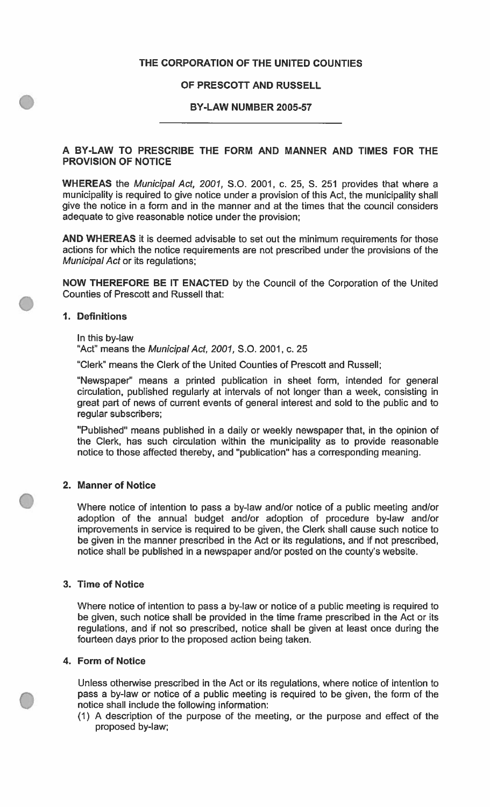## **THE CORPORATION OF THE UNITED COUNTIES**

## **OF PRESCOTT AND RUSSELL**

### **BY-LAW NUMBER 2005-57**

## **A BY-LAW TO PRESCRIBE THE FORM AND MANNER AND TIMES FOR THE PROVISION OF NOTICE**

**WHEREAS** the *Municipal Act, 2001,* S.O. 2001, c. 25, S. 251 provides that where a municipality is required to give notice under a provision of this Act, the municipality shall give the notice in a form and in the manner and at the times that the council considers adequate to give reasonable notice under the provision;

AND WHEREAS it is deemed advisable to set out the minimum requirements for those actions for which the notice requirements are not prescribed under the provisions of the *Municipal Act* or its regulations;

**NOW THEREFORE BE IT ENACTED** by the Council of the Corporation of the United Counties of Prescott and Russell that:

#### **1. Definitions**

# In this by-law

"Act" means the *Municipal Act, 2001,* S.O. 2001, c. <sup>25</sup>

"Clerk" means the Clerk of the United Counties of Prescott and Russell;

"Newspaper" means a printed publication in sheet form, intended for general circulation, published regularly at intervals of not longer than a week, consisting in great part of news of current events of general interest and sold to the public and to regular subscribers;

"Published" means published in a daily or weekly newspaper that, in the opinion of the Clerk, has such circulation within the municipality as to provide reasonable notice to those affected thereby, and "publication" has a corresponding meaning.

### **2. Manner of Notice**

Where notice of intention to pass a by-law and/or notice of a public meeting and/or adoption of the annual budget and/or adoption of procedure by-law and/or improvements in service is required to be given, the Clerk shall cause such notice to be given in the manner prescribed in the Act or its regulations, and if not prescribed, notice shall be published in a newspaper and/or posted on the county's website.

#### **3. Time of Notice**

Where notice of intention to pass a by-law or notice of a public meeting is required to be given, such notice shall be provided in the time frame prescribed in the Act or its regulations, and if not so prescribed, notice shall be given at least once during the fourteen days prior to the proposed action being taken.

#### **4. Form of Notice**

**C**

Unless otherwise prescribed in the Act or its regulations, where notice of intention to pass a by-law or notice of a public meeting is required to be given, the form of the notice shall include the following information:

(1) A description of the purpose of the meeting, or the purpose and effect of the proposed by-law;